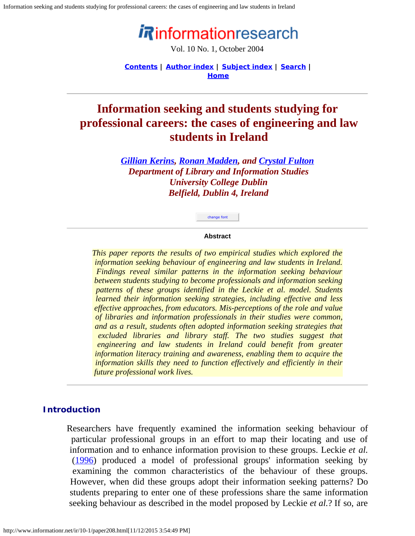Information seeking and students studying for professional careers: the cases of engineering and law students in Ireland

# *iR*informationresearch

Vol. 10 No. 1, October 2004

**[Contents](http://www.informationr.net/ir/10-1/infres101.html) | [Author index](http://www.informationr.net/ir/iraindex.html) | [Subject index](http://www.informationr.net/ir/irsindex.html) | [Search](http://www.informationr.net/ir/search.html) | [Home](http://www.informationr.net/ir/index.html)**

# **Information seeking and students studying for professional careers: the cases of engineering and law students in Ireland**

*[Gillian Kerins](mailto:), [Ronan Madden](mailto:), and [Crystal Fulton](mailto:Crystal.Fulton@ucd.ie) Department of Library and Information Studies University College Dublin Belfield, Dublin 4, Ireland*

#### **Abstract**

change font

*This paper reports the results of two empirical studies which explored the information seeking behaviour of engineering and law students in Ireland. Findings reveal similar patterns in the information seeking behaviour between students studying to become professionals and information seeking patterns of these groups identified in the Leckie et al. model. Students learned their information seeking strategies, including effective and less effective approaches, from educators. Mis-perceptions of the role and value of libraries and information professionals in their studies were common, and as a result, students often adopted information seeking strategies that excluded libraries and library staff. The two studies suggest that engineering and law students in Ireland could benefit from greater information literacy training and awareness, enabling them to acquire the information skills they need to function effectively and efficiently in their future professional work lives.*

#### **Introduction**

Researchers have frequently examined the information seeking behaviour of particular professional groups in an effort to map their locating and use of information and to enhance information provision to these groups. Leckie *et al.* ([1996\)](#page-12-0) produced a model of professional groups' information seeking by examining the common characteristics of the behaviour of these groups. However, when did these groups adopt their information seeking patterns? Do students preparing to enter one of these professions share the same information seeking behaviour as described in the model proposed by Leckie *et al.*? If so, are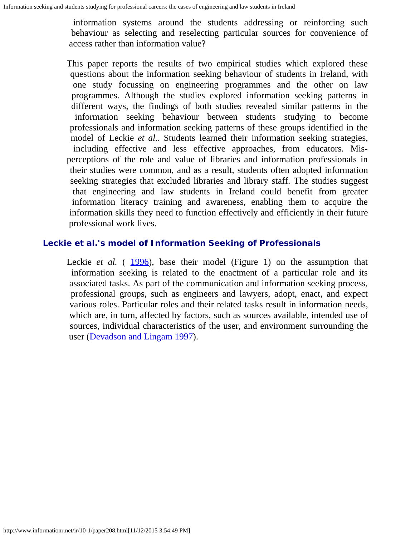information systems around the students addressing or reinforcing such behaviour as selecting and reselecting particular sources for convenience of access rather than information value?

This paper reports the results of two empirical studies which explored these questions about the information seeking behaviour of students in Ireland, with one study focussing on engineering programmes and the other on law programmes. Although the studies explored information seeking patterns in different ways, the findings of both studies revealed similar patterns in the information seeking behaviour between students studying to become professionals and information seeking patterns of these groups identified in the model of Leckie *et al.*. Students learned their information seeking strategies, including effective and less effective approaches, from educators. Misperceptions of the role and value of libraries and information professionals in their studies were common, and as a result, students often adopted information seeking strategies that excluded libraries and library staff. The studies suggest that engineering and law students in Ireland could benefit from greater information literacy training and awareness, enabling them to acquire the information skills they need to function effectively and efficiently in their future professional work lives.

#### **Leckie** *et al.***'s model of Information Seeking of Professionals**

Leckie *et al.* ([1996](#page-12-0)), base their model (Figure 1) on the assumption that information seeking is related to the enactment of a particular role and its associated tasks. As part of the communication and information seeking process, professional groups, such as engineers and lawyers, adopt, enact, and expect various roles. Particular roles and their related tasks result in information needs, which are, in turn, affected by factors, such as sources available, intended use of sources, individual characteristics of the user, and environment surrounding the user [\(Devadson and Lingam 1997](#page-12-1)).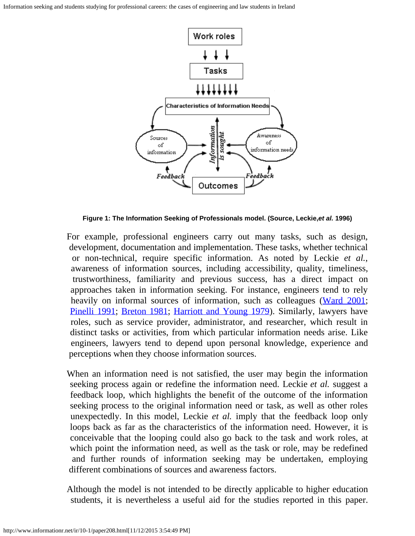Information seeking and students studying for professional careers: the cases of engineering and law students in Ireland



**Figure 1: The Information Seeking of Professionals model. (Source, Leckie,***et al.* **1996)**

For example, professional engineers carry out many tasks, such as design, development, documentation and implementation. These tasks, whether technical or non-technical, require specific information. As noted by Leckie *et al.*, awareness of information sources, including accessibility, quality, timeliness, trustworthiness, familiarity and previous success, has a direct impact on approaches taken in information seeking. For instance, engineers tend to rely heavily on informal sources of information, such as colleagues [\(Ward 2001](#page-12-2); [Pinelli 1991](#page-12-3); [Breton 1981](#page-11-0); [Harriott and Young 1979](#page-12-4)). Similarly, lawyers have roles, such as service provider, administrator, and researcher, which result in distinct tasks or activities, from which particular information needs arise. Like engineers, lawyers tend to depend upon personal knowledge, experience and perceptions when they choose information sources.

When an information need is not satisfied, the user may begin the information seeking process again or redefine the information need. Leckie *et al.* suggest a feedback loop, which highlights the benefit of the outcome of the information seeking process to the original information need or task, as well as other roles unexpectedly. In this model, Leckie *et al.* imply that the feedback loop only loops back as far as the characteristics of the information need. However, it is conceivable that the looping could also go back to the task and work roles, at which point the information need, as well as the task or role, may be redefined and further rounds of information seeking may be undertaken, employing different combinations of sources and awareness factors.

Although the model is not intended to be directly applicable to higher education students, it is nevertheless a useful aid for the studies reported in this paper.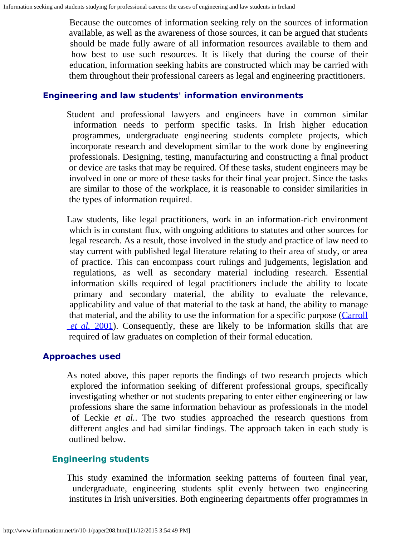Because the outcomes of information seeking rely on the sources of information available, as well as the awareness of those sources, it can be argued that students should be made fully aware of all information resources available to them and how best to use such resources. It is likely that during the course of their education, information seeking habits are constructed which may be carried with them throughout their professional careers as legal and engineering practitioners.

#### **Engineering and law students' information environments**

Student and professional lawyers and engineers have in common similar information needs to perform specific tasks. In Irish higher education programmes, undergraduate engineering students complete projects, which incorporate research and development similar to the work done by engineering professionals. Designing, testing, manufacturing and constructing a final product or device are tasks that may be required. Of these tasks, student engineers may be involved in one or more of these tasks for their final year project. Since the tasks are similar to those of the workplace, it is reasonable to consider similarities in the types of information required.

Law students, like legal practitioners, work in an information-rich environment which is in constant flux, with ongoing additions to statutes and other sources for legal research. As a result, those involved in the study and practice of law need to stay current with published legal literature relating to their area of study, or area of practice. This can encompass court rulings and judgements, legislation and regulations, as well as secondary material including research. Essential information skills required of legal practitioners include the ability to locate primary and secondary material, the ability to evaluate the relevance, applicability and value of that material to the task at hand, the ability to manage that material, and the ability to use the information for a specific purpose [\(Carroll](#page-12-5) *[et al.](#page-12-5)* [2001](#page-12-5)). Consequently, these are likely to be information skills that are required of law graduates on completion of their formal education.

## **Approaches used**

As noted above, this paper reports the findings of two research projects which explored the information seeking of different professional groups, specifically investigating whether or not students preparing to enter either engineering or law professions share the same information behaviour as professionals in the model of Leckie *et al.*. The two studies approached the research questions from different angles and had similar findings. The approach taken in each study is outlined below.

## **Engineering students**

This study examined the information seeking patterns of fourteen final year, undergraduate, engineering students split evenly between two engineering institutes in Irish universities. Both engineering departments offer programmes in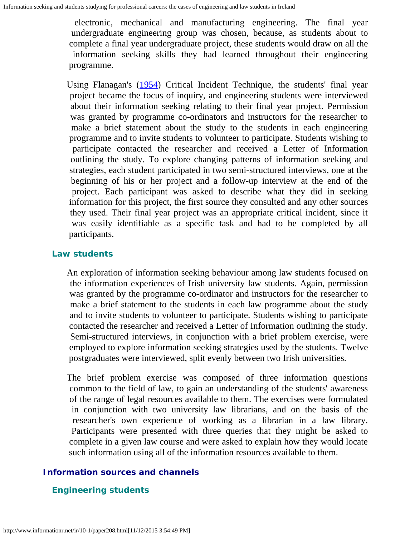electronic, mechanical and manufacturing engineering. The final year undergraduate engineering group was chosen, because, as students about to complete a final year undergraduate project, these students would draw on all the information seeking skills they had learned throughout their engineering programme.

Using Flanagan's ([1954\)](#page-12-6) Critical Incident Technique, the students' final year project became the focus of inquiry, and engineering students were interviewed about their information seeking relating to their final year project. Permission was granted by programme co-ordinators and instructors for the researcher to make a brief statement about the study to the students in each engineering programme and to invite students to volunteer to participate. Students wishing to participate contacted the researcher and received a Letter of Information outlining the study. To explore changing patterns of information seeking and strategies, each student participated in two semi-structured interviews, one at the beginning of his or her project and a follow-up interview at the end of the project. Each participant was asked to describe what they did in seeking information for this project, the first source they consulted and any other sources they used. Their final year project was an appropriate critical incident, since it was easily identifiable as a specific task and had to be completed by all participants.

#### **Law students**

An exploration of information seeking behaviour among law students focused on the information experiences of Irish university law students. Again, permission was granted by the programme co-ordinator and instructors for the researcher to make a brief statement to the students in each law programme about the study and to invite students to volunteer to participate. Students wishing to participate contacted the researcher and received a Letter of Information outlining the study. Semi-structured interviews, in conjunction with a brief problem exercise, were employed to explore information seeking strategies used by the students. Twelve postgraduates were interviewed, split evenly between two Irish universities.

The brief problem exercise was composed of three information questions common to the field of law, to gain an understanding of the students' awareness of the range of legal resources available to them. The exercises were formulated in conjunction with two university law librarians, and on the basis of the researcher's own experience of working as a librarian in a law library. Participants were presented with three queries that they might be asked to complete in a given law course and were asked to explain how they would locate such information using all of the information resources available to them.

#### **Information sources and channels**

#### **Engineering students**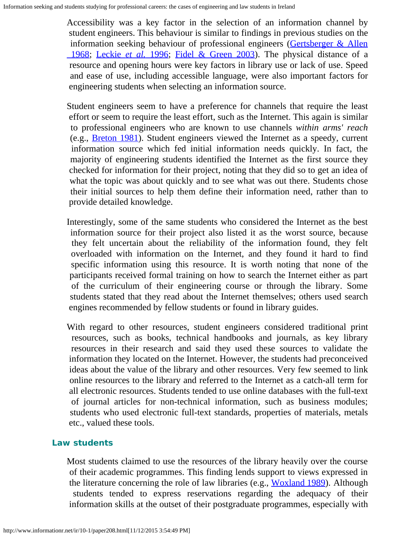Accessibility was a key factor in the selection of an information channel by student engineers. This behaviour is similar to findings in previous studies on the information seeking behaviour of professional engineers [\(Gertsberger & Allen](#page-12-4)  [1968;](#page-12-4) [Leckie](#page-12-0) *[et al.](#page-12-0)* [1996](#page-12-0); [Fidel & Green 2003](#page-12-7)). The physical distance of a resource and opening hours were key factors in library use or lack of use. Speed and ease of use, including accessible language, were also important factors for engineering students when selecting an information source.

Student engineers seem to have a preference for channels that require the least effort or seem to require the least effort, such as the Internet. This again is similar to professional engineers who are known to use channels *within arms' reach* (e.g., [Breton 1981](#page-11-0)). Student engineers viewed the Internet as a speedy, current information source which fed initial information needs quickly. In fact, the majority of engineering students identified the Internet as the first source they checked for information for their project, noting that they did so to get an idea of what the topic was about quickly and to see what was out there. Students chose their initial sources to help them define their information need, rather than to provide detailed knowledge.

- Interestingly, some of the same students who considered the Internet as the best information source for their project also listed it as the worst source, because they felt uncertain about the reliability of the information found, they felt overloaded with information on the Internet, and they found it hard to find specific information using this resource. It is worth noting that none of the participants received formal training on how to search the Internet either as part of the curriculum of their engineering course or through the library. Some students stated that they read about the Internet themselves; others used search engines recommended by fellow students or found in library guides.
- With regard to other resources, student engineers considered traditional print resources, such as books, technical handbooks and journals, as key library resources in their research and said they used these sources to validate the information they located on the Internet. However, the students had preconceived ideas about the value of the library and other resources. Very few seemed to link online resources to the library and referred to the Internet as a catch-all term for all electronic resources. Students tended to use online databases with the full-text of journal articles for non-technical information, such as business modules; students who used electronic full-text standards, properties of materials, metals etc., valued these tools.

## **Law students**

Most students claimed to use the resources of the library heavily over the course of their academic programmes. This finding lends support to views expressed in the literature concerning the role of law libraries (e.g.,  $Woxland 1989$  $Woxland 1989$  $Woxland 1989$ ). Although</u> students tended to express reservations regarding the adequacy of their information skills at the outset of their postgraduate programmes, especially with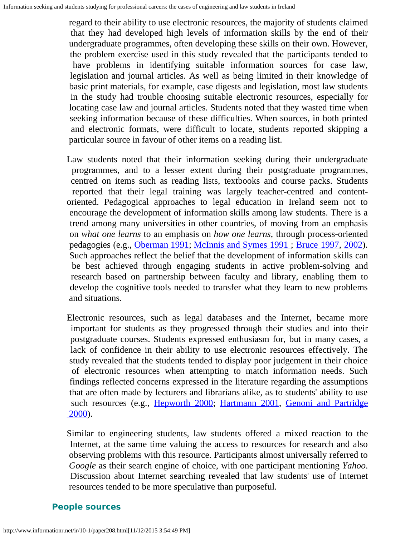regard to their ability to use electronic resources, the majority of students claimed that they had developed high levels of information skills by the end of their undergraduate programmes, often developing these skills on their own. However, the problem exercise used in this study revealed that the participants tended to have problems in identifying suitable information sources for case law, legislation and journal articles. As well as being limited in their knowledge of basic print materials, for example, case digests and legislation, most law students in the study had trouble choosing suitable electronic resources, especially for locating case law and journal articles. Students noted that they wasted time when seeking information because of these difficulties. When sources, in both printed and electronic formats, were difficult to locate, students reported skipping a particular source in favour of other items on a reading list.

- Law students noted that their information seeking during their undergraduate programmes, and to a lesser extent during their postgraduate programmes, centred on items such as reading lists, textbooks and course packs. Students reported that their legal training was largely teacher-centred and contentoriented. Pedagogical approaches to legal education in Ireland seem not to encourage the development of information skills among law students. There is a trend among many universities in other countries, of moving from an emphasis on *what one learns* to an emphasis on *how one learns*, through process-oriented pedagogies (e.g., [Oberman 1991](#page-12-9); [McInnis and Symes 1991](#page-12-10) ; [Bruce 1997](#page-11-1), [2002](#page-11-1)). Such approaches reflect the belief that the development of information skills can be best achieved through engaging students in active problem-solving and research based on partnership between faculty and library, enabling them to develop the cognitive tools needed to transfer what they learn to new problems and situations.
- Electronic resources, such as legal databases and the Internet, became more important for students as they progressed through their studies and into their postgraduate courses. Students expressed enthusiasm for, but in many cases, a lack of confidence in their ability to use electronic resources effectively. The study revealed that the students tended to display poor judgement in their choice of electronic resources when attempting to match information needs. Such findings reflected concerns expressed in the literature regarding the assumptions that are often made by lecturers and librarians alike, as to students' ability to use such resources (e.g., [Hepworth 2000](#page-12-11); [Hartmann 2001](#page-12-4), [Genoni and Partridge](#page-12-12)  $2000$ ).

Similar to engineering students, law students offered a mixed reaction to the Internet, at the same time valuing the access to resources for research and also observing problems with this resource. Participants almost universally referred to *Google* as their search engine of choice, with one participant mentioning *Yahoo*. Discussion about Internet searching revealed that law students' use of Internet resources tended to be more speculative than purposeful.

#### **People sources**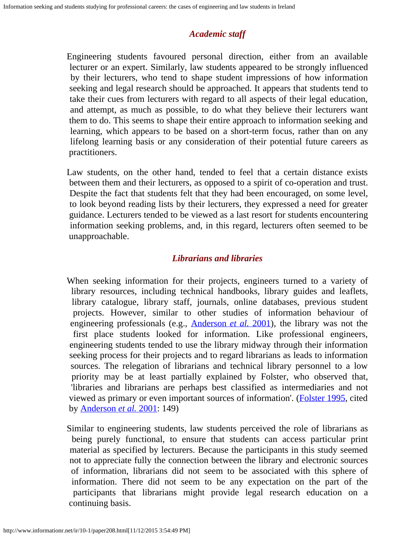## *Academic staff*

Engineering students favoured personal direction, either from an available lecturer or an expert. Similarly, law students appeared to be strongly influenced by their lecturers, who tend to shape student impressions of how information seeking and legal research should be approached. It appears that students tend to take their cues from lecturers with regard to all aspects of their legal education, and attempt, as much as possible, to do what they believe their lecturers want them to do. This seems to shape their entire approach to information seeking and learning, which appears to be based on a short-term focus, rather than on any lifelong learning basis or any consideration of their potential future careers as practitioners.

Law students, on the other hand, tended to feel that a certain distance exists between them and their lecturers, as opposed to a spirit of co-operation and trust. Despite the fact that students felt that they had been encouraged, on some level, to look beyond reading lists by their lecturers, they expressed a need for greater guidance. Lecturers tended to be viewed as a last resort for students encountering information seeking problems, and, in this regard, lecturers often seemed to be unapproachable.

## *Librarians and libraries*

When seeking information for their projects, engineers turned to a variety of library resources, including technical handbooks, library guides and leaflets, library catalogue, library staff, journals, online databases, previous student projects. However, similar to other studies of information behaviour of engineering professionals (e.g., [Anderson](#page-11-2) *[et al.](#page-11-2)* [2001](#page-11-2)), the library was not the first place students looked for information. Like professional engineers, engineering students tended to use the library midway through their information seeking process for their projects and to regard librarians as leads to information sources. The relegation of librarians and technical library personnel to a low priority may be at least partially explained by Folster, who observed that, 'libraries and librarians are perhaps best classified as intermediaries and not viewed as primary or even important sources of information'. [\(Folster 1995](#page-12-13), cited by [Anderson](#page-11-2) *[et al.](#page-11-2)* [2001](#page-11-2): 149)

Similar to engineering students, law students perceived the role of librarians as being purely functional, to ensure that students can access particular print material as specified by lecturers. Because the participants in this study seemed not to appreciate fully the connection between the library and electronic sources of information, librarians did not seem to be associated with this sphere of information. There did not seem to be any expectation on the part of the participants that librarians might provide legal research education on a continuing basis.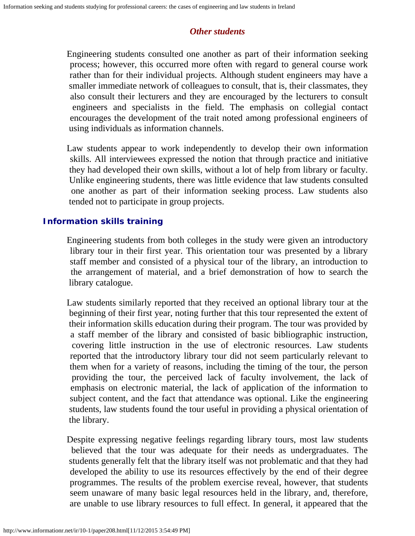## *Other students*

Engineering students consulted one another as part of their information seeking process; however, this occurred more often with regard to general course work rather than for their individual projects. Although student engineers may have a smaller immediate network of colleagues to consult, that is, their classmates, they also consult their lecturers and they are encouraged by the lecturers to consult engineers and specialists in the field. The emphasis on collegial contact encourages the development of the trait noted among professional engineers of using individuals as information channels.

Law students appear to work independently to develop their own information skills. All interviewees expressed the notion that through practice and initiative they had developed their own skills, without a lot of help from library or faculty. Unlike engineering students, there was little evidence that law students consulted one another as part of their information seeking process. Law students also tended not to participate in group projects.

## **Information skills training**

Engineering students from both colleges in the study were given an introductory library tour in their first year. This orientation tour was presented by a library staff member and consisted of a physical tour of the library, an introduction to the arrangement of material, and a brief demonstration of how to search the library catalogue.

Law students similarly reported that they received an optional library tour at the beginning of their first year, noting further that this tour represented the extent of their information skills education during their program. The tour was provided by a staff member of the library and consisted of basic bibliographic instruction, covering little instruction in the use of electronic resources. Law students reported that the introductory library tour did not seem particularly relevant to them when for a variety of reasons, including the timing of the tour, the person providing the tour, the perceived lack of faculty involvement, the lack of emphasis on electronic material, the lack of application of the information to subject content, and the fact that attendance was optional. Like the engineering students, law students found the tour useful in providing a physical orientation of the library.

Despite expressing negative feelings regarding library tours, most law students believed that the tour was adequate for their needs as undergraduates. The students generally felt that the library itself was not problematic and that they had developed the ability to use its resources effectively by the end of their degree programmes. The results of the problem exercise reveal, however, that students seem unaware of many basic legal resources held in the library, and, therefore, are unable to use library resources to full effect. In general, it appeared that the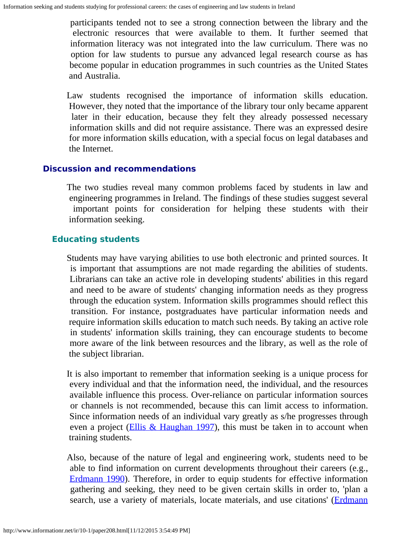participants tended not to see a strong connection between the library and the electronic resources that were available to them. It further seemed that information literacy was not integrated into the law curriculum. There was no option for law students to pursue any advanced legal research course as has become popular in education programmes in such countries as the United States and Australia.

Law students recognised the importance of information skills education. However, they noted that the importance of the library tour only became apparent later in their education, because they felt they already possessed necessary information skills and did not require assistance. There was an expressed desire for more information skills education, with a special focus on legal databases and the Internet.

## **Discussion and recommendations**

The two studies reveal many common problems faced by students in law and engineering programmes in Ireland. The findings of these studies suggest several important points for consideration for helping these students with their information seeking.

## **Educating students**

Students may have varying abilities to use both electronic and printed sources. It is important that assumptions are not made regarding the abilities of students. Librarians can take an active role in developing students' abilities in this regard and need to be aware of students' changing information needs as they progress through the education system. Information skills programmes should reflect this transition. For instance, postgraduates have particular information needs and require information skills education to match such needs. By taking an active role in students' information skills training, they can encourage students to become more aware of the link between resources and the library, as well as the role of the subject librarian.

It is also important to remember that information seeking is a unique process for every individual and that the information need, the individual, and the resources available influence this process. Over-reliance on particular information sources or channels is not recommended, because this can limit access to information. Since information needs of an individual vary greatly as s/he progresses through even a project [\(Ellis & Haughan 1997](#page-12-14)), this must be taken in to account when training students.

Also, because of the nature of legal and engineering work, students need to be able to find information on current developments throughout their careers (e.g., [Erdmann 1990](#page-12-15)). Therefore, in order to equip students for effective information gathering and seeking, they need to be given certain skills in order to, 'plan a search, use a variety of materials, locate materials, and use citations' [\(Erdmann](#page-12-15)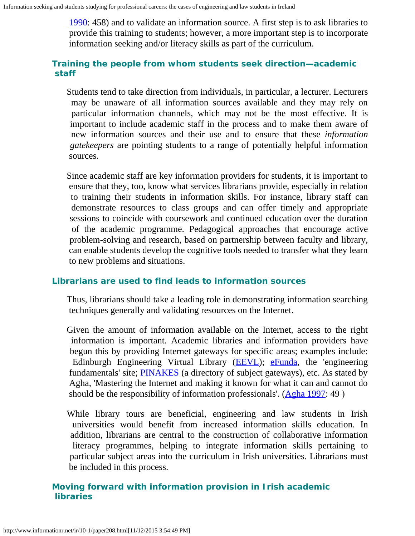[1990:](#page-12-15) 458) and to validate an information source. A first step is to ask libraries to provide this training to students; however, a more important step is to incorporate information seeking and/or literacy skills as part of the curriculum.

## **Training the people from whom students seek direction—academic staff**

Students tend to take direction from individuals, in particular, a lecturer. Lecturers may be unaware of all information sources available and they may rely on particular information channels, which may not be the most effective. It is important to include academic staff in the process and to make them aware of new information sources and their use and to ensure that these *information gatekeepers* are pointing students to a range of potentially helpful information sources.

Since academic staff are key information providers for students, it is important to ensure that they, too, know what services librarians provide, especially in relation to training their students in information skills. For instance, library staff can demonstrate resources to class groups and can offer timely and appropriate sessions to coincide with coursework and continued education over the duration of the academic programme. Pedagogical approaches that encourage active problem-solving and research, based on partnership between faculty and library, can enable students develop the cognitive tools needed to transfer what they learn to new problems and situations.

## **Librarians are used to find leads to information sources**

Thus, librarians should take a leading role in demonstrating information searching techniques generally and validating resources on the Internet.

Given the amount of information available on the Internet, access to the right information is important. Academic libraries and information providers have begun this by providing Internet gateways for specific areas; examples include: Edinburgh Engineering Virtual Library ([EEVL](http://www.eevl.ac.uk/)); [eFunda](http://www.efunda.com/home.cfm), the 'engineering fundamentals' site; **[PINAKES](http://www.hw.ac.uk/libWWW/irn/pinakes/pinakes.html)** (a directory of subject gateways), etc. As stated by Agha, 'Mastering the Internet and making it known for what it can and cannot do should be the responsibility of information professionals'. ( $\Delta g$ ha 1997: 49)

While library tours are beneficial, engineering and law students in Irish universities would benefit from increased information skills education. In addition, librarians are central to the construction of collaborative information literacy programmes, helping to integrate information skills pertaining to particular subject areas into the curriculum in Irish universities. Librarians must be included in this process.

## **Moving forward with information provision in Irish academic libraries**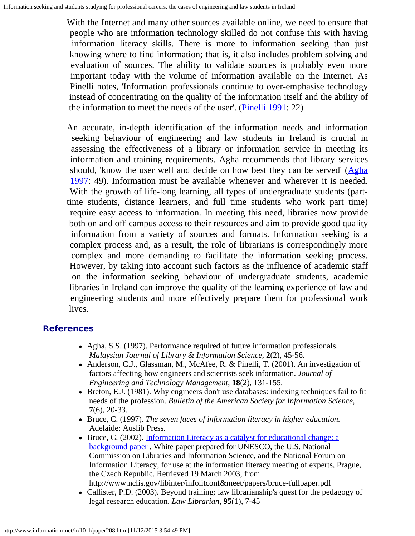With the Internet and many other sources available online, we need to ensure that people who are information technology skilled do not confuse this with having information literacy skills. There is more to information seeking than just knowing where to find information; that is, it also includes problem solving and evaluation of sources. The ability to validate sources is probably even more important today with the volume of information available on the Internet. As Pinelli notes, 'Information professionals continue to over-emphasise technology instead of concentrating on the quality of the information itself and the ability of the information to meet the needs of the user'. [\(Pinelli 1991](#page-12-3): 22)

An accurate, in-depth identification of the information needs and information seeking behaviour of engineering and law students in Ireland is crucial in assessing the effectiveness of a library or information service in meeting its information and training requirements. Agha recommends that library services should, 'know the user well and decide on how best they can be served' [\(Agha](#page-11-3) 1997: 49). Information must be available whenever and wherever it is needed. With the growth of life-long learning, all types of undergraduate students (parttime students, distance learners, and full time students who work part time) require easy access to information. In meeting this need, libraries now provide both on and off-campus access to their resources and aim to provide good quality information from a variety of sources and formats. Information seeking is a complex process and, as a result, the role of librarians is correspondingly more complex and more demanding to facilitate the information seeking process. However, by taking into account such factors as the influence of academic staff on the information seeking behaviour of undergraduate students, academic libraries in Ireland can improve the quality of the learning experience of law and engineering students and more effectively prepare them for professional work lives.

#### <span id="page-11-3"></span><span id="page-11-2"></span>**References**

- Agha, S.S. (1997). Performance required of future information professionals. *Malaysian Journal of Library & Information Science*, **2**(2), 45-56.
- Anderson, C.J., Glassman, M., McAfee, R. & Pinelli, T. (2001). An investigation of factors affecting how engineers and scientists seek information. *Journal of Engineering and Technology Management*, **18**(2), 131-155.
- Breton, E.J. (1981). Why engineers don't use databases: indexing techniques fail to fit needs of the profession. *Bulletin of the American Society for Information Science*, **7**(6), 20-33.
- <span id="page-11-0"></span>Bruce, C. (1997). *The seven faces of information literacy in higher education.* Adelaide: Auslib Press.
- <span id="page-11-1"></span>Bruce, C. (2002). [Information Literacy as a catalyst for educational change: a](http://www.nclis.gov/libinter/infolitconf&meet/papers/bruce-fullpaper.pdf) background paper, White paper prepared for UNESCO, the U.S. National Commission on Libraries and Information Science, and the National Forum on Information Literacy, for use at the information literacy meeting of experts, Prague, the Czech Republic. Retrieved 19 March 2003, from http://www.nclis.gov/libinter/infolitconf&meet/papers/bruce-fullpaper.pdf
- Callister, P.D. (2003). Beyond training: law librarianship's quest for the pedagogy of legal research education. *Law Librarian*, **95**(1), 7-45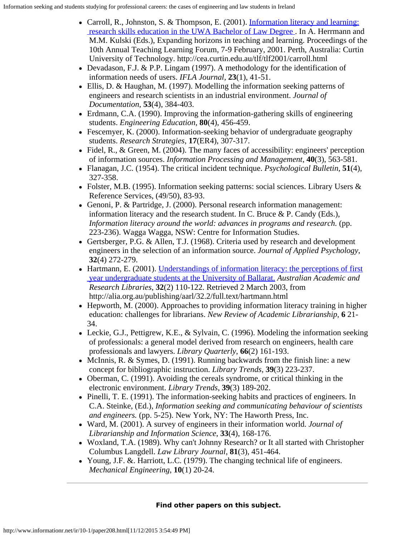- <span id="page-12-5"></span>• Carroll, R., Johnston, S. & Thompson, E. (2001). [Information literacy and learning:](http://cea.curtin.edu.au/tlf/tlf2001/carroll.html)  [research skills education in the UWA Bachelor of Law Degree](http://cea.curtin.edu.au/tlf/tlf2001/carroll.html) . In A. Herrmann and M.M. Kulski (Eds.), Expanding horizons in teaching and learning. Proceedings of the 10th Annual Teaching Learning Forum, 7-9 February, 2001. Perth, Australia: Curtin University of Technology. http://cea.curtin.edu.au/tlf/tlf2001/carroll.html
- Devadason, F.J. & P.P. Lingam (1997). A methodology for the identification of information needs of users. *IFLA Journal*, **23**(1), 41-51.
- <span id="page-12-1"></span>Ellis, D. & Haughan, M. (1997). Modelling the information seeking patterns of engineers and research scientists in an industrial environment. *Journal of Documentation*, **53**(4), 384-403.
- <span id="page-12-14"></span>Erdmann, C.A. (1990). Improving the information-gathering skills of engineering students. *Engineering Education*, **80**(4), 456-459.
- <span id="page-12-15"></span>Fescemyer, K. (2000). Information-seeking behavior of undergraduate geography students. *Research Strategies*, **17**(ER4), 307-317.
- Fidel, R., & Green, M. (2004). The many faces of accessibility: engineers' perception of information sources. *Information Processing and Management*, **40**(3), 563-581.
- <span id="page-12-7"></span>Flanagan, J.C. (1954). The critical incident technique. *Psychological Bulletin*, **51**(4), 327-358.
- <span id="page-12-6"></span>• Folster, M.B. (1995). Information seeking patterns: social sciences. Library Users  $\&$ Reference Services, (49/50), 83-93.
- <span id="page-12-13"></span>Genoni, P. & Partridge, J. (2000). Personal research information management: information literacy and the research student. In C. Bruce & P. Candy (Eds.), *Information literacy around the world: advances in programs and research.* (pp. 223-236). Wagga Wagga, NSW: Centre for Information Studies.
- <span id="page-12-12"></span>Gertsberger, P.G. & Allen, T.J. (1968). Criteria used by research and development engineers in the selection of an information source. *Journal of Applied Psychology*, **32**(4) 272-279.
- <span id="page-12-4"></span>• Hartmann, E. (2001). [Understandings of information literacy: the perceptions of first](http://alia.org.au/publishing/aarl/32.2/full.text/hartmann.html)  [year undergraduate students at the University of Ballarat.](http://alia.org.au/publishing/aarl/32.2/full.text/hartmann.html) *Australian Academic and Research Libraries*, **32**(2) 110-122. Retrieved 2 March 2003, from http://alia.org.au/publishing/aarl/32.2/full.text/hartmann.html
- Hepworth, M. (2000). Approaches to providing information literacy training in higher education: challenges for librarians. *New Review of Academic Librarianship*, **6** 21- 34.
- <span id="page-12-11"></span>• Leckie, G.J., Pettigrew, K.E., & Sylvain, C. (1996). Modeling the information seeking of professionals: a general model derived from research on engineers, health care professionals and lawyers. *Library Quarterly*, **66**(2) 161-193.
- <span id="page-12-0"></span>• McInnis, R. & Symes, D. (1991). Running backwards from the finish line: a new concept for bibliographic instruction. *Library Trends*, **39**(3) 223-237.
- <span id="page-12-10"></span>Oberman, C. (1991). Avoiding the cereals syndrome, or critical thinking in the electronic environment. *Library Trends*, **39**(3) 189-202.
- <span id="page-12-9"></span>• Pinelli, T. E. (1991). The information-seeking habits and practices of engineers. In C.A. Steinke, (Ed.), *Information seeking and communicating behaviour of scientists and engineers.* (pp. 5-25). New York, NY: The Haworth Press, Inc.
- <span id="page-12-3"></span>Ward, M. (2001). A survey of engineers in their information world. *Journal of Librarianship and Information Science*, **33**(4), 168-176.
- <span id="page-12-2"></span>Woxland, T.A. (1989). Why can't Johnny Research? or It all started with Christopher Columbus Langdell. *Law Library Journal*, **81**(3), 451-464.
- <span id="page-12-8"></span>Young, J.F. &. Harriott, L.C. (1979). The changing technical life of engineers. *Mechanical Engineering*, **10**(1) 20-24.

#### **Find other papers on this subject.**